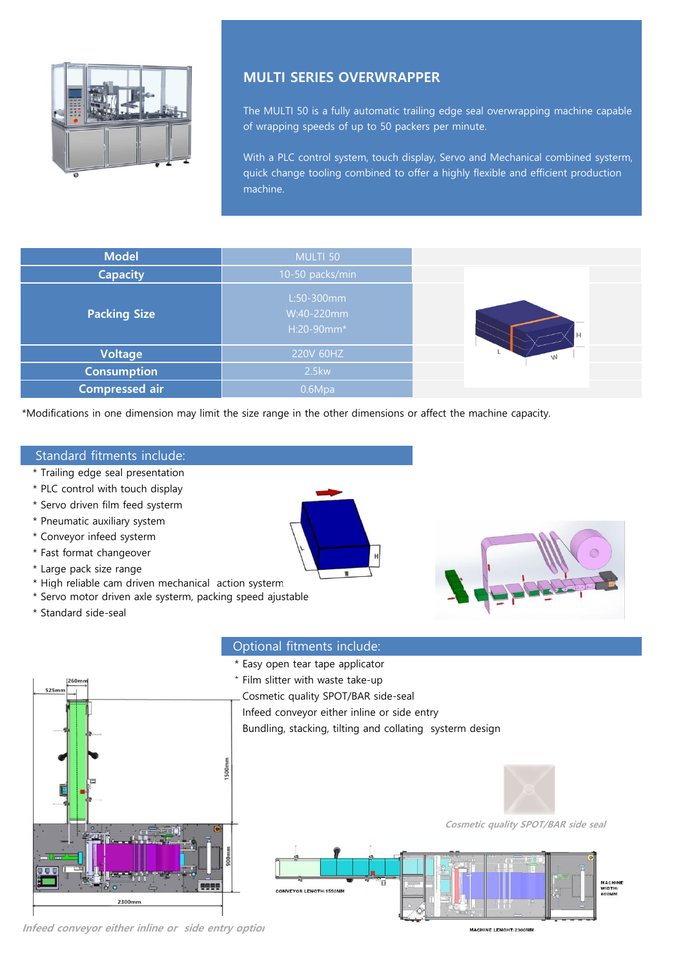

# **MULTI SERIES OVERWRAPPER**

The MULTI 50 is a fully automatic trailing edge seal overwrapping machine capable of wrapping speeds of up to 50 packers per minute.

With a PLC control system, touch display, Servo and Mechanical combined systerm, quick change tooling combined to offer a highly flexible and efficient production machine.

| <b>Model</b>          | MULTI 50                               |   |
|-----------------------|----------------------------------------|---|
| <b>Capacity</b>       | 10-50 packs/min                        |   |
| <b>Packing Size</b>   | L:50-300mm<br>W:40-220mm<br>H:20-90mm* |   |
| <b>Voltage</b>        | 220V 60HZ                              | W |
| <b>Consumption</b>    | 2.5kw                                  |   |
| <b>Compressed air</b> | 0.6Mpa                                 |   |

\*Modifications in one dimension may limit the size range in the other dimensions or affect the machine capacity.

## Standard fitments include:

- \* Trailing edge seal presentation
- \* PLC control with touch display
- \* Servo driven film feed systerm
- \* Pneumatic auxiliary system
- \* Conveyor infeed systerm
- \* Fast format changeover
- \* Large pack size range
- \* High reliable cam driven mechanical action systerm
- \* Servo motor driven axle systerm, packing speed ajustable
- \* Standard side-seal





## Optional fitments include:



Infeed conveyor either inline or side entry option

MACHINE LENGHT:2300M

**Cosmetic quality SPOT/BAR side seal** 

MACHINE<br>WIDTH:<br>860MM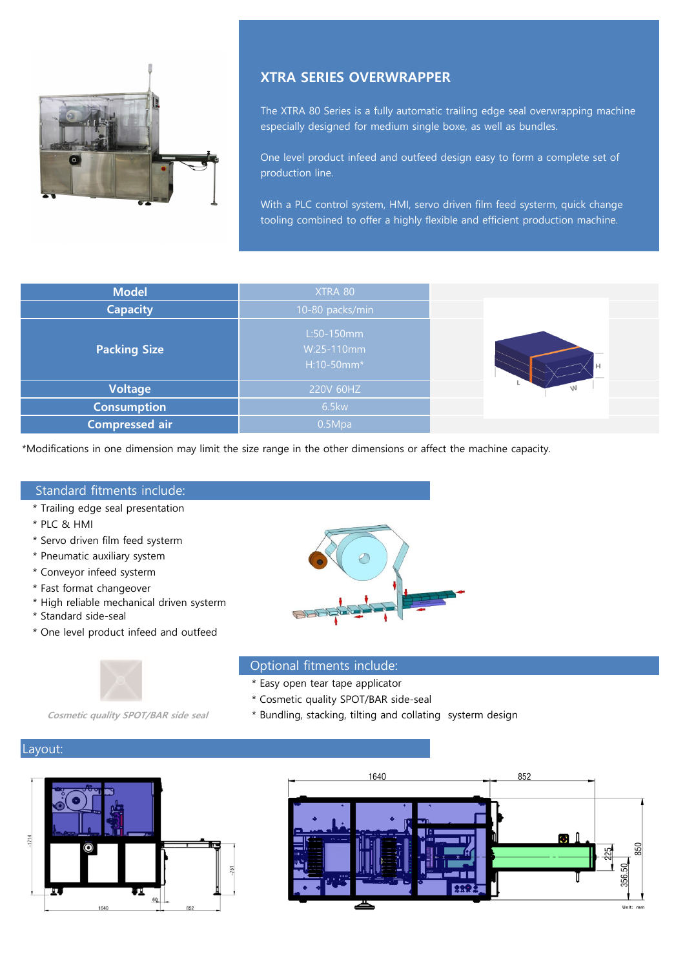

## **XTRA SERIES OVERWRAPPER**

The XTRA 80 Series is a fully automatic trailing edge seal overwrapping machine especially designed for medium single boxe, as well as bundles.

One level product infeed and outfeed design easy to form a complete set of production line.

With a PLC control system, HMI, servo driven film feed systerm, quick change tooling combined to offer a highly flexible and efficient production machine.

| <b>Model</b>        | XTRA 80                                |   |
|---------------------|----------------------------------------|---|
| <b>Capacity</b>     | 10-80 packs/min                        |   |
| <b>Packing Size</b> | L:50-150mm<br>W:25-110mm<br>H:10-50mm* | Н |
| <b>Voltage</b>      | 220V 60HZ                              | W |
| <b>Consumption</b>  | <b>6.5kw</b>                           |   |
| Compressed air      | 0.5Mpa                                 |   |

\*Modifications in one dimension may limit the size range in the other dimensions or affect the machine capacity.

#### Standard fitments include:

- \* Trailing edge seal presentation
- \* PLC & HMI
- \* Servo driven film feed systerm
- \* Pneumatic auxiliary system
- \* Conveyor infeed systerm
- \* Fast format changeover
- \* High reliable mechanical driven systerm
- \* Standard side-seal
- \* One level product infeed and outfeed



#### Optional fitments include:

- \* Easy open tear tape applicator
- \* Cosmetic quality SPOT/BAR side-seal
- **Cosmetic quality SPOT/BAR side seal** \* Bundling, stacking, tilting and collating systerm design

## Layout:



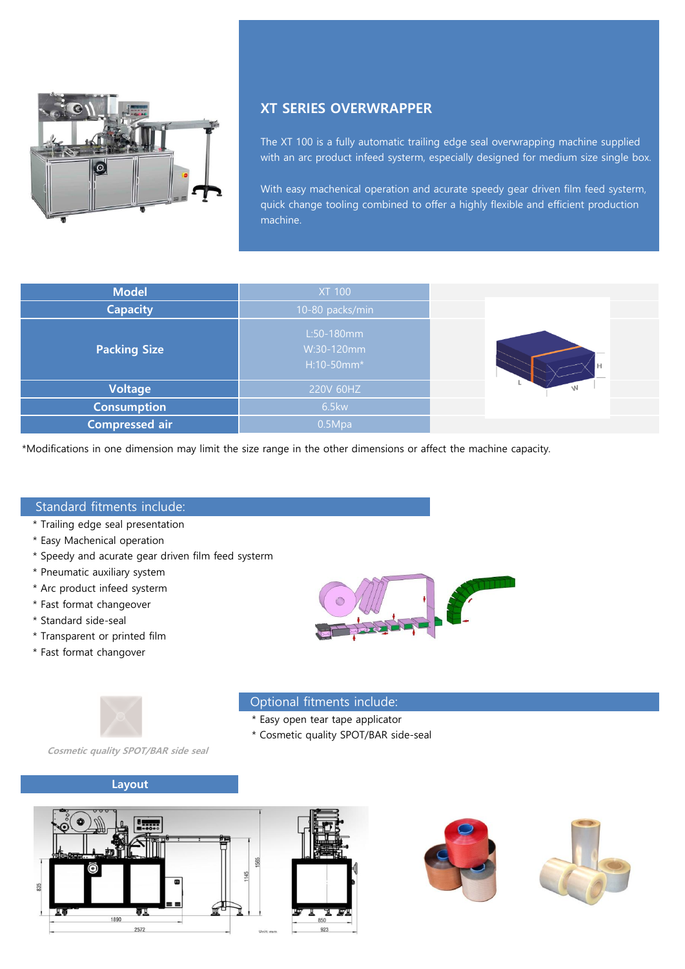

# **XT SERIES OVERWRAPPER**

The XT 100 is a fully automatic trailing edge seal overwrapping machine supplied with an arc product infeed systerm, especially designed for medium size single box.

With easy machenical operation and acurate speedy gear driven film feed systerm, quick change tooling combined to offer a highly flexible and efficient production machine.

| <b>Model</b>          | <b>XT 100</b>                          |   |
|-----------------------|----------------------------------------|---|
| <b>Capacity</b>       | 10-80 packs/min                        |   |
| <b>Packing Size</b>   | L:50-180mm<br>W:30-120mm<br>H:10-50mm* |   |
| <b>Voltage</b>        | 220V 60HZ                              | W |
| <b>Consumption</b>    | 6.5kw                                  |   |
| <b>Compressed air</b> | 0.5Mpa                                 |   |

\*Modifications in one dimension may limit the size range in the other dimensions or affect the machine capacity.

## Standard fitments include:

- \* Trailing edge seal presentation
- \* Easy Machenical operation
- \* Speedy and acurate gear driven film feed systerm
- \* Pneumatic auxiliary system
- \* Arc product infeed systerm
- \* Fast format changeover
- \* Standard side-seal
- \* Transparent or printed film
- \* Fast format changover





## Optional fitments include:

- \* Easy open tear tape applicator
- \* Cosmetic quality SPOT/BAR side-seal

**Cosmetic quality SPOT/BAR side seal** 

#### **Layout**





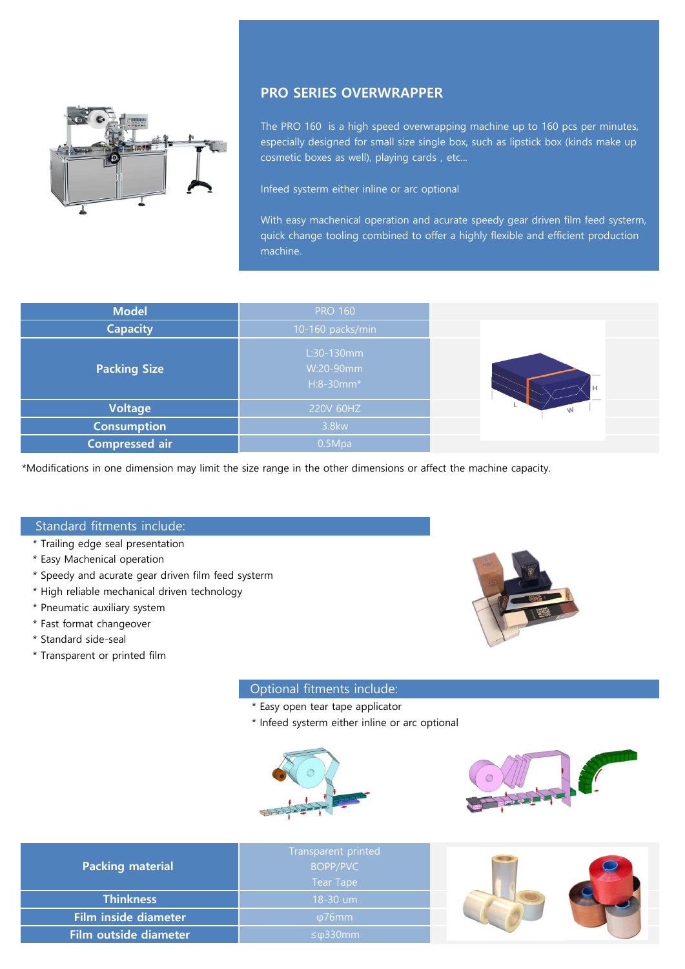

# **PRO SERIES OVERWRAPPER**

The PRO 160 is a high speed overwrapping machine up to 160 pcs per minutes, especially designed for small size single box, such as lipstick box (kinds make up cosmetic boxes as well), playing cards, etc...

Infeed systerm either inline or arc optional

With easy machenical operation and acurate speedy gear driven film feed systerm, quick change tooling combined to offer a highly flexible and efficient production machine.

| <b>Model</b>          | <b>PRO 160</b>                         |          |
|-----------------------|----------------------------------------|----------|
| <b>Capacity</b>       | 10-160 packs/min                       |          |
| <b>Packing Size</b>   | $L:30-130mm$<br>W:20-90mm<br>H:8-30mm* |          |
| <b>Voltage</b>        | 220V 60HZ                              | <b>W</b> |
| <b>Consumption</b>    | 3.8kw                                  |          |
| <b>Compressed air</b> | 0.5Mpa                                 |          |

\*Modifications in one dimension may limit the size range in the other dimensions or affect the machine capacity.

## Standard fitments include:

- \* Trailing edge seal presentation
- \* Easy Machenical operation
- \* Speedy and acurate gear driven film feed systerm
- \* High reliable mechanical driven technology
- \* Pneumatic auxiliary system
- \* Fast format changeover
- \* Standard side-seal
- \* Transparent or printed film

## Optional fitments include:

- \* Easy open tear tape applicator
- \* Infeed systerm either inline or arc optional





| <b>Packing material</b> | Transparent printed<br>BOPP/PVC<br>Tear Tape |  |
|-------------------------|----------------------------------------------|--|
| <b>Thinkness</b>        | 18-30 um                                     |  |
| Film inside diameter    | $\omega$ 76mm                                |  |
| Film outside diameter   | $\leq \omega$ 330 $\text{mm}$                |  |

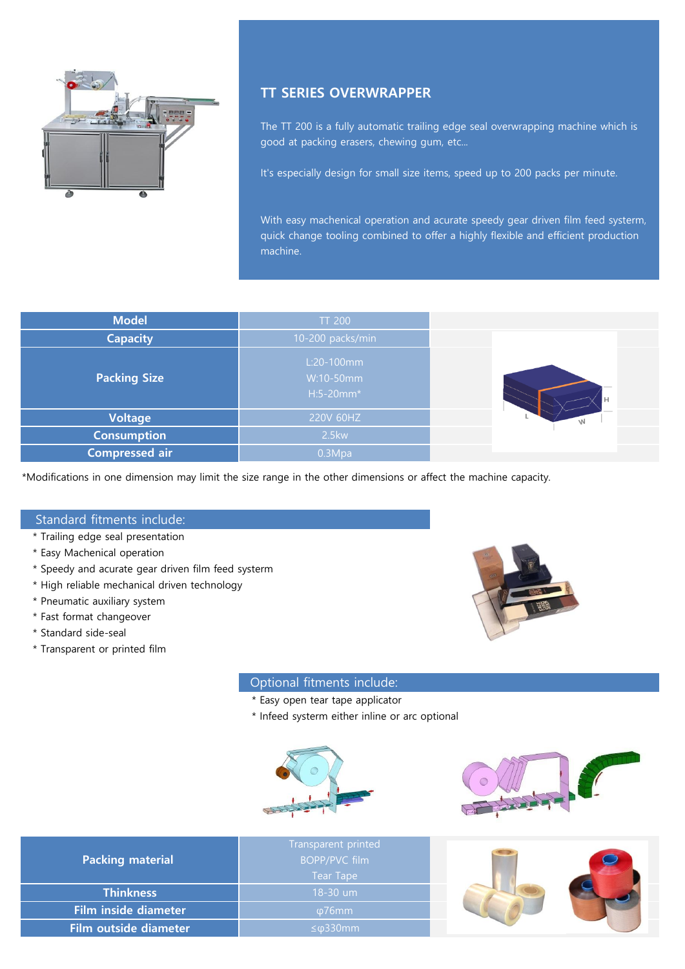

# **TT SERIES OVERWRAPPER**

The TT 200 is a fully automatic trailing edge seal overwrapping machine which is good at packing erasers, chewing gum, etc...

It's especially design for small size items, speed up to 200 packs per minute.

With easy machenical operation and acurate speedy gear driven film feed systerm, quick change tooling combined to offer a highly flexible and efficient production machine.

| <b>Model</b>        | <b>TT 200</b>                          |     |
|---------------------|----------------------------------------|-----|
| <b>Capacity</b>     | 10-200 packs/min                       |     |
| <b>Packing Size</b> | L:20-100mm<br>W:10-50mm<br>$H:5-20mm*$ | l H |
| <b>Voltage</b>      | 220V 60HZ                              |     |
| <b>Consumption</b>  | <b>2.5kw</b>                           |     |
| Compressed air      | 0.3Mpa                                 |     |

\*Modifications in one dimension may limit the size range in the other dimensions or affect the machine capacity.

## Standard fitments include:

- \* Trailing edge seal presentation
- \* Easy Machenical operation
- \* Speedy and acurate gear driven film feed systerm
- \* High reliable mechanical driven technology
- \* Pneumatic auxiliary system
- \* Fast format changeover
- \* Standard side-seal
- \* Transparent or printed film



## Optional fitments include:

- \* Easy open tear tape applicator
- \* Infeed systerm either inline or arc optional





| <b>Packing material</b> | Transparent printed<br><b>BOPP/PVC film</b><br><b>Tear Tape</b> |  |
|-------------------------|-----------------------------------------------------------------|--|
| <b>Thinkness</b>        | $18-30$ um                                                      |  |
| Film inside diameter    | ω76mm                                                           |  |
| Film outside diameter   | $\leq \varphi$ 330mm                                            |  |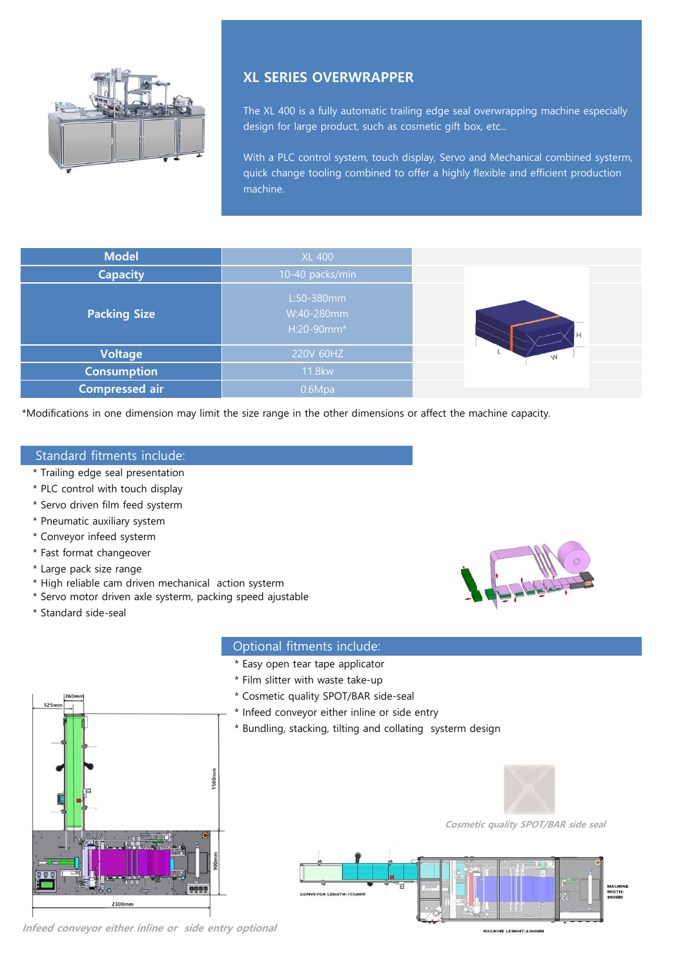

# **XL SERIES OVERWRAPPER**

The XL 400 is a fully automatic trailing edge seal overwrapping machine especially design for large product, such as cosmetic gift box, etc...

With a PLC control system, touch display, Servo and Mechanical combined systerm, quick change tooling combined to offer a highly flexible and efficient production machine.

| <b>Model</b>          | <b>XL 400</b>                          |   |
|-----------------------|----------------------------------------|---|
| <b>Capacity</b>       | 10-40 packs/min                        |   |
| <b>Packing Size</b>   | L:50-380mm<br>W:40-280mm<br>H:20-90mm* |   |
| <b>Voltage</b>        | 220V 60HZ                              | W |
| <b>Consumption</b>    | 11.8kw                                 |   |
| <b>Compressed air</b> | 0.6Mpa                                 |   |

\*Modifications in one dimension may limit the size range in the other dimensions or affect the machine capacity.

## Standard fitments include:

- \* Trailing edge seal presentation
- \* PLC control with touch display
- \* Servo driven film feed systerm
- \* Pneumatic auxiliary system
- \* Conveyor infeed systerm
- \* Fast format changeover
- \* Large pack size range
- \* High reliable cam driven mechanical action systerm
- \* Servo motor driven axle systerm, packing speed ajustable
- \* Standard side-seal

## Optional fitments include:

- \* Easy open tear tape applicator
- \* Film slitter with waste take-up
- \* Cosmetic quality SPOT/BAR side-seal
- \* Infeed conveyor either inline or side entry
- \* Bundling, stacking, tilting and collating systerm design



**Cosmetic quality SPOT/BAR side seal** 





**Infeed conveyor either inline or side entry optional**

MACHINE LENGHT:2300MM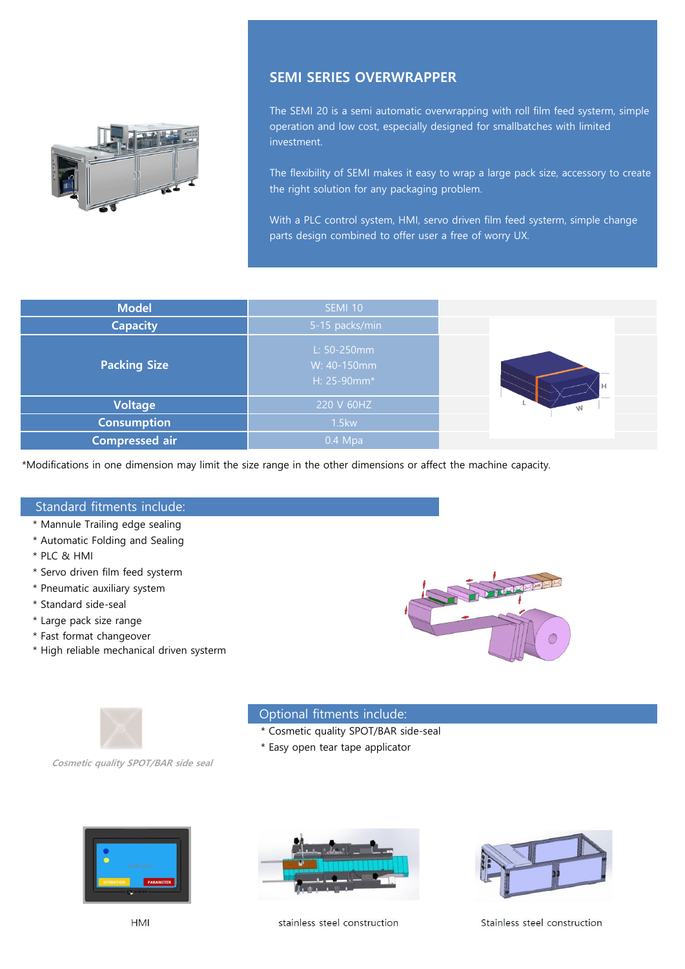

## **SEMI SERIES OVERWRAPPER**

The SEMI 20 is a semi automatic overwrapping with roll film feed systerm, simple operation and low cost, especially designed for smallbatches with limited investment.

The flexibility of SEMI makes it easy to wrap a large pack size, accessory to create the right solution for any packaging problem.

With a PLC control system, HMI, servo driven film feed systerm, simple change parts design combined to offer user a free of worry UX.

| <b>Model</b>          | <b>SEMI 10</b>                            |     |
|-----------------------|-------------------------------------------|-----|
| <b>Capacity</b>       | 5-15 packs/min                            |     |
| <b>Packing Size</b>   | L: 50-250mm<br>W: 40-150mm<br>H: 25-90mm* | l H |
| <b>Voltage</b>        | 220 V 60HZ                                |     |
| <b>Consumption</b>    | 1.5kw                                     |     |
| <b>Compressed air</b> | $0.4$ Mpa                                 |     |

\*Modifications in one dimension may limit the size range in the other dimensions or affect the machine capacity.

## Standard fitments include:

- \* Mannule Trailing edge sealing
- \* Automatic Folding and Sealing
- \* PLC & HMI
- \* Servo driven film feed systerm
- \* Pneumatic auxiliary system
- \* Standard side-seal
- \* Large pack size range
- \* Fast format changeover
- \* High reliable mechanical driven systerm





#### Optional fitments include:

- \* Cosmetic quality SPOT/BAR side-seal
- \* Easy open tear tape applicator

**Cosmetic quality SPOT/BAR side seal** 



stainless steel construction

Stainless steel construction